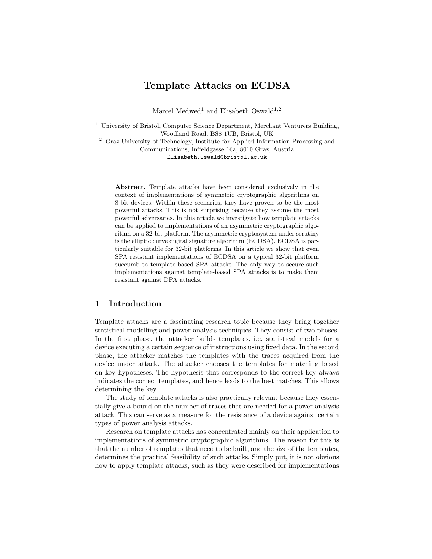# Template Attacks on ECDSA

Marcel Medwed<sup>1</sup> and Elisabeth Oswald<sup>1,2</sup>

<sup>1</sup> University of Bristol, Computer Science Department, Merchant Venturers Building, Woodland Road, BS8 1UB, Bristol, UK

<sup>2</sup> Graz University of Technology, Institute for Applied Information Processing and Communications, Inffeldgasse 16a, 8010 Graz, Austria

Elisabeth.Oswald@bristol.ac.uk

Abstract. Template attacks have been considered exclusively in the context of implementations of symmetric cryptographic algorithms on 8-bit devices. Within these scenarios, they have proven to be the most powerful attacks. This is not surprising because they assume the most powerful adversaries. In this article we investigate how template attacks can be applied to implementations of an asymmetric cryptographic algorithm on a 32-bit platform. The asymmetric cryptosystem under scrutiny is the elliptic curve digital signature algorithm (ECDSA). ECDSA is particularly suitable for 32-bit platforms. In this article we show that even SPA resistant implementations of ECDSA on a typical 32-bit platform succumb to template-based SPA attacks. The only way to secure such implementations against template-based SPA attacks is to make them resistant against DPA attacks.

## 1 Introduction

Template attacks are a fascinating research topic because they bring together statistical modelling and power analysis techniques. They consist of two phases. In the first phase, the attacker builds templates, i.e. statistical models for a device executing a certain sequence of instructions using fixed data. In the second phase, the attacker matches the templates with the traces acquired from the device under attack. The attacker chooses the templates for matching based on key hypotheses. The hypothesis that corresponds to the correct key always indicates the correct templates, and hence leads to the best matches. This allows determining the key.

The study of template attacks is also practically relevant because they essentially give a bound on the number of traces that are needed for a power analysis attack. This can serve as a measure for the resistance of a device against certain types of power analysis attacks.

Research on template attacks has concentrated mainly on their application to implementations of symmetric cryptographic algorithms. The reason for this is that the number of templates that need to be built, and the size of the templates, determines the practical feasibility of such attacks. Simply put, it is not obvious how to apply template attacks, such as they were described for implementations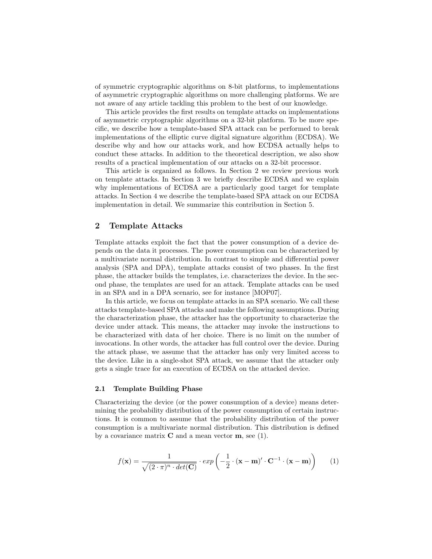of symmetric cryptographic algorithms on 8-bit platforms, to implementations of asymmetric cryptographic algorithms on more challenging platforms. We are not aware of any article tackling this problem to the best of our knowledge.

This article provides the first results on template attacks on implementations of asymmetric cryptographic algorithms on a 32-bit platform. To be more specific, we describe how a template-based SPA attack can be performed to break implementations of the elliptic curve digital signature algorithm (ECDSA). We describe why and how our attacks work, and how ECDSA actually helps to conduct these attacks. In addition to the theoretical description, we also show results of a practical implementation of our attacks on a 32-bit processor.

This article is organized as follows. In Section 2 we review previous work on template attacks. In Section 3 we briefly describe ECDSA and we explain why implementations of ECDSA are a particularly good target for template attacks. In Section 4 we describe the template-based SPA attack on our ECDSA implementation in detail. We summarize this contribution in Section 5.

## 2 Template Attacks

Template attacks exploit the fact that the power consumption of a device depends on the data it processes. The power consumption can be characterized by a multivariate normal distribution. In contrast to simple and differential power analysis (SPA and DPA), template attacks consist of two phases. In the first phase, the attacker builds the templates, i.e. characterizes the device. In the second phase, the templates are used for an attack. Template attacks can be used in an SPA and in a DPA scenario, see for instance [MOP07].

In this article, we focus on template attacks in an SPA scenario. We call these attacks template-based SPA attacks and make the following assumptions. During the characterization phase, the attacker has the opportunity to characterize the device under attack. This means, the attacker may invoke the instructions to be characterized with data of her choice. There is no limit on the number of invocations. In other words, the attacker has full control over the device. During the attack phase, we assume that the attacker has only very limited access to the device. Like in a single-shot SPA attack, we assume that the attacker only gets a single trace for an execution of ECDSA on the attacked device.

#### 2.1 Template Building Phase

Characterizing the device (or the power consumption of a device) means determining the probability distribution of the power consumption of certain instructions. It is common to assume that the probability distribution of the power consumption is a multivariate normal distribution. This distribution is defined by a covariance matrix  $C$  and a mean vector  $m$ , see (1).

$$
f(\mathbf{x}) = \frac{1}{\sqrt{(2 \cdot \pi)^n \cdot det(\mathbf{C})}} \cdot exp\left(-\frac{1}{2} \cdot (\mathbf{x} - \mathbf{m})' \cdot \mathbf{C}^{-1} \cdot (\mathbf{x} - \mathbf{m})\right) \tag{1}
$$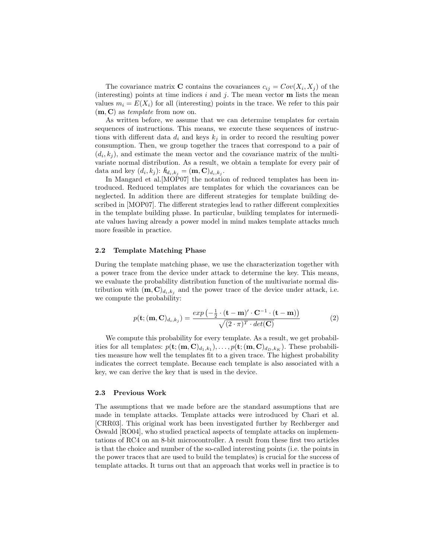The covariance matrix **C** contains the covariances  $c_{ij} = Cov(X_i, X_j)$  of the (interesting) points at time indices  $i$  and  $j$ . The mean vector **m** lists the mean values  $m_i = E(X_i)$  for all (interesting) points in the trace. We refer to this pair  $(m, C)$  as *template* from now on.

As written before, we assume that we can determine templates for certain sequences of instructions. This means, we execute these sequences of instructions with different data  $d_i$  and keys  $k_j$  in order to record the resulting power consumption. Then, we group together the traces that correspond to a pair of  $(d_i, k_j)$ , and estimate the mean vector and the covariance matrix of the multivariate normal distribution. As a result, we obtain a template for every pair of data and key  $(d_i, k_j)$ :  $h_{d_i, k_j} = (\mathbf{m}, \mathbf{C})_{d_i, k_j}$ .

In Mangard et al. [MOP07] the notation of reduced templates has been introduced. Reduced templates are templates for which the covariances can be neglected. In addition there are different strategies for template building described in [MOP07]. The different strategies lead to rather different complexities in the template building phase. In particular, building templates for intermediate values having already a power model in mind makes template attacks much more feasible in practice.

#### 2.2 Template Matching Phase

During the template matching phase, we use the characterization together with a power trace from the device under attack to determine the key. This means, we evaluate the probability distribution function of the multivariate normal distribution with  $(m, C)_{d_i, k_j}$  and the power trace of the device under attack, i.e. we compute the probability:

$$
p(\mathbf{t}; (\mathbf{m}, \mathbf{C})_{d_i, k_j}) = \frac{\exp\left(-\frac{1}{2} \cdot (\mathbf{t} - \mathbf{m})' \cdot \mathbf{C}^{-1} \cdot (\mathbf{t} - \mathbf{m})\right)}{\sqrt{(2 \cdot \pi)^T \cdot \det(\mathbf{C})}} \tag{2}
$$

We compute this probability for every template. As a result, we get probabilities for all templates:  $p(\mathbf{t}; (\mathbf{m}, \mathbf{C})_{d_1, k_1}), \ldots, p(\mathbf{t}; (\mathbf{m}, \mathbf{C})_{d_D, k_K}).$  These probabilities measure how well the templates fit to a given trace. The highest probability indicates the correct template. Because each template is also associated with a key, we can derive the key that is used in the device.

#### 2.3 Previous Work

The assumptions that we made before are the standard assumptions that are made in template attacks. Template attacks were introduced by Chari et al. [CRR03]. This original work has been investigated further by Rechberger and Oswald [RO04], who studied practical aspects of template attacks on implementations of RC4 on an 8-bit microcontroller. A result from these first two articles is that the choice and number of the so-called interesting points (i.e. the points in the power traces that are used to build the templates) is crucial for the success of template attacks. It turns out that an approach that works well in practice is to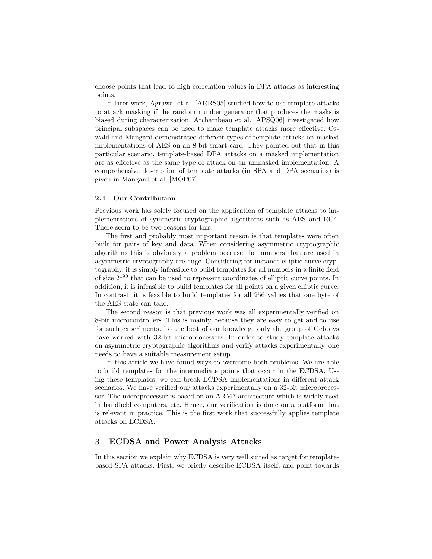choose points that lead to high correlation values in DPA attacks as interesting points.

In later work, Agrawal et al. [ARRS05] studied how to use template attacks to attack masking if the random number generator that produces the masks is biased during characterization. Archambeau et al. [APSQ06] investigated how principal subspaces can be used to make template attacks more effective. Oswald and Mangard demonstrated different types of template attacks on masked implementations of AES on an 8-bit smart card. They pointed out that in this particular scenario, template-based DPA attacks on a masked implementation are as effective as the same type of attack on an unmasked implementation. A comprehensive description of template attacks (in SPA and DPA scenarios) is given in Mangard et al. [MOP07].

### 2.4 Our Contribution

Previous work has solely focused on the application of template attacks to implementations of symmetric cryptographic algorithms such as AES and RC4. There seem to be two reasons for this.

The first and probably most important reason is that templates were often built for pairs of key and data. When considering asymmetric cryptographic algorithms this is obviously a problem because the numbers that are used in asymmetric cryptography are huge. Considering for instance elliptic curve cryptography, it is simply infeasible to build templates for all numbers in a finite field of size 2<sup>190</sup> that can be used to represent coordinates of elliptic curve points. In addition, it is infeasible to build templates for all points on a given elliptic curve. In contrast, it is feasible to build templates for all 256 values that one byte of the AES state can take.

The second reason is that previous work was all experimentally verified on 8-bit microcontrollers. This is mainly because they are easy to get and to use for such experiments. To the best of our knowledge only the group of Gebotys have worked with 32-bit microprocessors. In order to study template attacks on asymmetric cryptographic algorithms and verify attacks experimentally, one needs to have a suitable measurement setup.

In this article we have found ways to overcome both problems. We are able to build templates for the intermediate points that occur in the ECDSA. Using these templates, we can break ECDSA implementations in different attack scenarios. We have verified our attacks experimentally on a 32-bit microprocessor. The microprocessor is based on an ARM7 architecture which is widely used in handheld computers, etc. Hence, our verification is done on a platform that is relevant in practice. This is the first work that successfully applies template attacks on ECDSA.

# 3 ECDSA and Power Analysis Attacks

In this section we explain why ECDSA is very well suited as target for templatebased SPA attacks. First, we briefly describe ECDSA itself, and point towards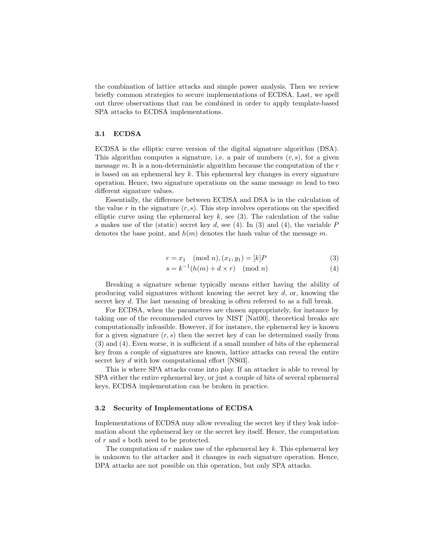the combination of lattice attacks and simple power analysis. Then we review briefly common strategies to secure implementations of ECDSA. Last, we spell out three observations that can be combined in order to apply template-based SPA attacks to ECDSA implementations.

#### 3.1 ECDSA

ECDSA is the elliptic curve version of the digital signature algorithm (DSA). This algorithm computes a signature, i.e. a pair of numbers  $(r, s)$ , for a given message  $m$ . It is a non-deterministic algorithm because the computation of the  $r$ is based on an ephemeral key  $k$ . This ephemeral key changes in every signature operation. Hence, two signature operations on the same message  $m$  lead to two different signature values.

Essentially, the difference between ECDSA and DSA is in the calculation of the value r in the signature  $(r, s)$ . This step involves operations on the specified elliptic curve using the ephemeral key  $k$ , see (3). The calculation of the value s makes use of the (static) secret key d, see (4). In (3) and (4), the variable  $P$ denotes the base point, and  $h(m)$  denotes the hash value of the message m.

$$
r = x_1 \pmod{n}, (x_1, y_1) = [k]P
$$
 (3)

$$
s = k^{-1}(h(m) + d \times r) \pmod{n}
$$
 (4)

Breaking a signature scheme typically means either having the ability of producing valid signatures without knowing the secret key  $d$ , or, knowing the secret key d. The last meaning of breaking is often referred to as a full break.

For ECDSA, when the parameters are chosen appropriately, for instance by taking one of the recommended curves by NIST [Nat00], theoretical breaks are computationally infeasible. However, if for instance, the ephemeral key is known for a given signature  $(r, s)$  then the secret key d can be determined easily from (3) and (4). Even worse, it is sufficient if a small number of bits of the ephemeral key from a couple of signatures are known, lattice attacks can reveal the entire secret key d with low computational effort [NS03].

This is where SPA attacks come into play. If an attacker is able to reveal by SPA either the entire ephemeral key, or just a couple of bits of several ephemeral keys, ECDSA implementation can be broken in practice.

#### 3.2 Security of Implementations of ECDSA

Implementations of ECDSA may allow revealing the secret key if they leak information about the ephemeral key or the secret key itself. Hence, the computation of r and s both need to be protected.

The computation of r makes use of the ephemeral key k. This ephemeral key is unknown to the attacker and it changes in each signature operation. Hence, DPA attacks are not possible on this operation, but only SPA attacks.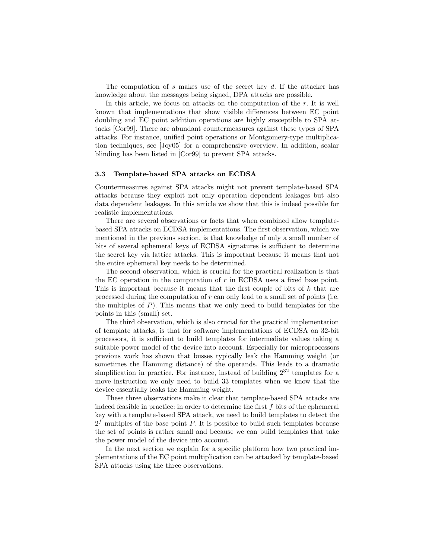The computation of s makes use of the secret key d. If the attacker has knowledge about the messages being signed, DPA attacks are possible.

In this article, we focus on attacks on the computation of the  $r$ . It is well known that implementations that show visible differences between EC point doubling and EC point addition operations are highly susceptible to SPA attacks [Cor99]. There are abundant countermeasures against these types of SPA attacks. For instance, unified point operations or Montgomery-type multiplication techniques, see [Joy05] for a comprehensive overview. In addition, scalar blinding has been listed in [Cor99] to prevent SPA attacks.

#### 3.3 Template-based SPA attacks on ECDSA

Countermeasures against SPA attacks might not prevent template-based SPA attacks because they exploit not only operation dependent leakages but also data dependent leakages. In this article we show that this is indeed possible for realistic implementations.

There are several observations or facts that when combined allow templatebased SPA attacks on ECDSA implementations. The first observation, which we mentioned in the previous section, is that knowledge of only a small number of bits of several ephemeral keys of ECDSA signatures is sufficient to determine the secret key via lattice attacks. This is important because it means that not the entire ephemeral key needs to be determined.

The second observation, which is crucial for the practical realization is that the EC operation in the computation of  $r$  in ECDSA uses a fixed base point. This is important because it means that the first couple of bits of k that are processed during the computation of r can only lead to a small set of points (i.e. the multiples of  $P$ ). This means that we only need to build templates for the points in this (small) set.

The third observation, which is also crucial for the practical implementation of template attacks, is that for software implementations of ECDSA on 32-bit processors, it is sufficient to build templates for intermediate values taking a suitable power model of the device into account. Especially for microprocessors previous work has shown that busses typically leak the Hamming weight (or sometimes the Hamming distance) of the operands. This leads to a dramatic simplification in practice. For instance, instead of building  $2^{32}$  templates for a move instruction we only need to build 33 templates when we know that the device essentially leaks the Hamming weight.

These three observations make it clear that template-based SPA attacks are indeed feasible in practice: in order to determine the first  $f$  bits of the ephemeral key with a template-based SPA attack, we need to build templates to detect the  $2<sup>f</sup>$  multiples of the base point P. It is possible to build such templates because the set of points is rather small and because we can build templates that take the power model of the device into account.

In the next section we explain for a specific platform how two practical implementations of the EC point multiplication can be attacked by template-based SPA attacks using the three observations.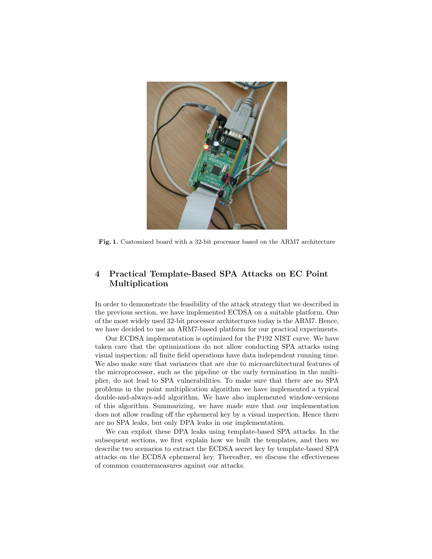

Fig. 1. Customized board with a 32-bit processor based on the ARM7 architecture

# 4 Practical Template-Based SPA Attacks on EC Point Multiplication

In order to demonstrate the feasibility of the attack strategy that we described in the previous section, we have implemented ECDSA on a suitable platform. One of the most widely used 32-bit processor architectures today is the ARM7. Hence, we have decided to use an ARM7-based platform for our practical experiments.

Our ECDSA implementation is optimized for the P192 NIST curve. We have taken care that the optimizations do not allow conducting SPA attacks using visual inspection: all finite field operations have data independent running time. We also make sure that variances that are due to microarchitectural features of the microprocessor, such as the pipeline or the early termination in the multiplier, do not lead to SPA vulnerabilities. To make sure that there are no SPA problems in the point multiplication algorithm we have implemented a typical double-and-always-add algorithm. We have also implemented window-versions of this algorithm. Summarizing, we have made sure that our implementation does not allow reading off the ephemeral key by a visual inspection. Hence there are no SPA leaks, but only DPA leaks in our implementation.

We can exploit these DPA leaks using template-based SPA attacks. In the subsequent sections, we first explain how we built the templates, and then we describe two scenarios to extract the ECDSA secret key by template-based SPA attacks on the ECDSA ephemeral key. Thereafter, we discuss the effectiveness of common countermeasures against our attacks.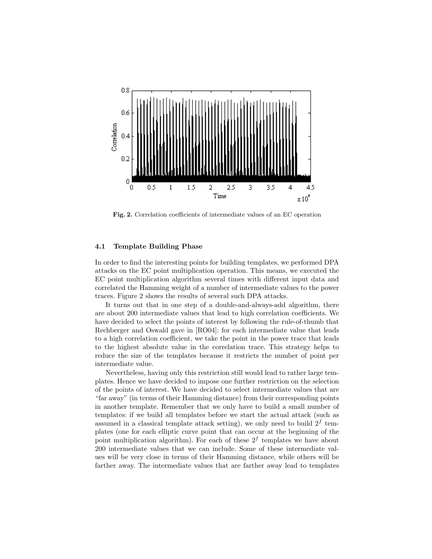

Fig. 2. Correlation coefficients of intermediate values of an EC operation

### 4.1 Template Building Phase

In order to find the interesting points for building templates, we performed DPA attacks on the EC point multiplication operation. This means, we executed the EC point multiplication algorithm several times with different input data and correlated the Hamming weight of a number of intermediate values to the power traces. Figure 2 shows the results of several such DPA attacks.

It turns out that in one step of a double-and-always-add algorithm, there are about 200 intermediate values that lead to high correlation coefficients. We have decided to select the points of interest by following the rule-of-thumb that Rechberger and Oswald gave in [RO04]: for each intermediate value that leads to a high correlation coefficient, we take the point in the power trace that leads to the highest absolute value in the correlation trace. This strategy helps to reduce the size of the templates because it restricts the number of point per intermediate value.

Nevertheless, having only this restriction still would lead to rather large templates. Hence we have decided to impose one further restriction on the selection of the points of interest. We have decided to select intermediate values that are "far away" (in terms of their Hamming distance) from their corresponding points in another template. Remember that we only have to build a small number of templates: if we build all templates before we start the actual attack (such as assumed in a classical template attack setting), we only need to build  $2^f$  templates (one for each elliptic curve point that can occur at the beginning of the point multiplication algorithm). For each of these  $2^f$  templates we have about 200 intermediate values that we can include. Some of these intermediate values will be very close in terms of their Hamming distance, while others will be farther away. The intermediate values that are farther away lead to templates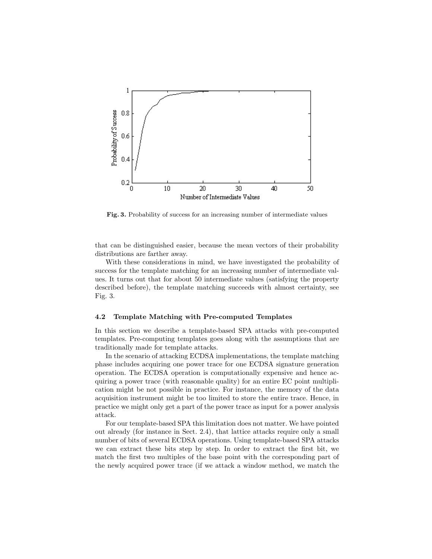

Fig. 3. Probability of success for an increasing number of intermediate values

that can be distinguished easier, because the mean vectors of their probability distributions are farther away.

With these considerations in mind, we have investigated the probability of success for the template matching for an increasing number of intermediate values. It turns out that for about 50 intermediate values (satisfying the property described before), the template matching succeeds with almost certainty, see Fig. 3.

#### 4.2 Template Matching with Pre-computed Templates

In this section we describe a template-based SPA attacks with pre-computed templates. Pre-computing templates goes along with the assumptions that are traditionally made for template attacks.

In the scenario of attacking ECDSA implementations, the template matching phase includes acquiring one power trace for one ECDSA signature generation operation. The ECDSA operation is computationally expensive and hence acquiring a power trace (with reasonable quality) for an entire EC point multiplication might be not possible in practice. For instance, the memory of the data acquisition instrument might be too limited to store the entire trace. Hence, in practice we might only get a part of the power trace as input for a power analysis attack.

For our template-based SPA this limitation does not matter. We have pointed out already (for instance in Sect. 2.4), that lattice attacks require only a small number of bits of several ECDSA operations. Using template-based SPA attacks we can extract these bits step by step. In order to extract the first bit, we match the first two multiples of the base point with the corresponding part of the newly acquired power trace (if we attack a window method, we match the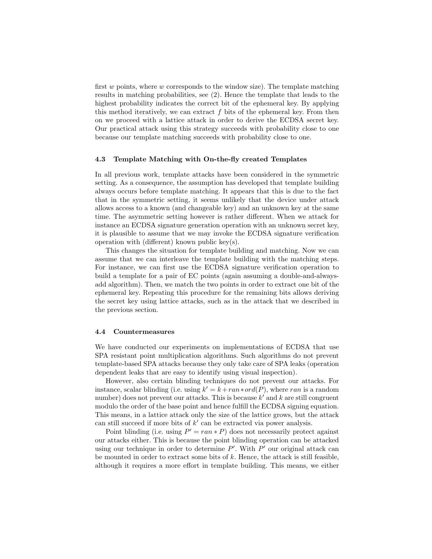first  $w$  points, where  $w$  corresponds to the window size). The template matching results in matching probabilities, see (2). Hence the template that leads to the highest probability indicates the correct bit of the ephemeral key. By applying this method iteratively, we can extract  $f$  bits of the ephemeral key. From then on we proceed with a lattice attack in order to derive the ECDSA secret key. Our practical attack using this strategy succeeds with probability close to one because our template matching succeeds with probability close to one.

### 4.3 Template Matching with On-the-fly created Templates

In all previous work, template attacks have been considered in the symmetric setting. As a consequence, the assumption has developed that template building always occurs before template matching. It appears that this is due to the fact that in the symmetric setting, it seems unlikely that the device under attack allows access to a known (and changeable key) and an unknown key at the same time. The asymmetric setting however is rather different. When we attack for instance an ECDSA signature generation operation with an unknown secret key, it is plausible to assume that we may invoke the ECDSA signature verification operation with (different) known public key(s).

This changes the situation for template building and matching. Now we can assume that we can interleave the template building with the matching steps. For instance, we can first use the ECDSA signature verification operation to build a template for a pair of EC points (again assuming a double-and-alwaysadd algorithm). Then, we match the two points in order to extract one bit of the ephemeral key. Repeating this procedure for the remaining bits allows deriving the secret key using lattice attacks, such as in the attack that we described in the previous section.

#### 4.4 Countermeasures

We have conducted our experiments on implementations of ECDSA that use SPA resistant point multiplication algorithms. Such algorithms do not prevent template-based SPA attacks because they only take care of SPA leaks (operation dependent leaks that are easy to identify using visual inspection).

However, also certain blinding techniques do not prevent our attacks. For instance, scalar blinding (i.e. using  $k' = k + ran*ord(P)$ , where ran is a random number) does not prevent our attacks. This is because  $k'$  and  $k$  are still congruent modulo the order of the base point and hence fulfill the ECDSA signing equation. This means, in a lattice attack only the size of the lattice grows, but the attack can still succeed if more bits of  $k'$  can be extracted via power analysis.

Point blinding (i.e. using  $P' = ran * P$ ) does not necessarily protect against our attacks either. This is because the point blinding operation can be attacked using our technique in order to determine  $P'$ . With  $P'$  our original attack can be mounted in order to extract some bits of  $k$ . Hence, the attack is still feasible, although it requires a more effort in template building. This means, we either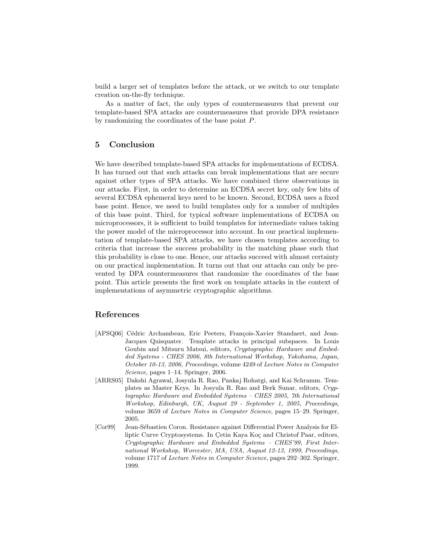build a larger set of templates before the attack, or we switch to our template creation on-the-fly technique.

As a matter of fact, the only types of countermeasures that prevent our template-based SPA attacks are countermeasures that provide DPA resistance by randomizing the coordinates of the base point P.

# 5 Conclusion

We have described template-based SPA attacks for implementations of ECDSA. It has turned out that such attacks can break implementations that are secure against other types of SPA attacks. We have combined three observations in our attacks. First, in order to determine an ECDSA secret key, only few bits of several ECDSA ephemeral keys need to be known. Second, ECDSA uses a fixed base point. Hence, we need to build templates only for a number of multiples of this base point. Third, for typical software implementations of ECDSA on microprocessors, it is sufficient to build templates for intermediate values taking the power model of the microprocessor into account. In our practical implementation of template-based SPA attacks, we have chosen templates according to criteria that increase the success probability in the matching phase such that this probability is close to one. Hence, our attacks succeed with almost certainty on our practical implementation. It turns out that our attacks can only be prevented by DPA countermeasures that randomize the coordinates of the base point. This article presents the first work on template attacks in the context of implementations of asymmetric cryptographic algorithms.

## References

- [APSQ06] Cédric Archambeau, Eric Peeters, François-Xavier Standaert, and Jean-Jacques Quisquater. Template attacks in principal subspaces. In Louis Goubin and Mitsuru Matsui, editors, Cryptographic Hardware and Embedded Systems - CHES 2006, 8th International Workshop, Yokohama, Japan, October 10-13, 2006, Proceedings, volume 4249 of Lecture Notes in Computer Science, pages 1–14. Springer, 2006.
- [ARRS05] Dakshi Agrawal, Josyula R. Rao, Pankaj Rohatgi, and Kai Schramm. Templates as Master Keys. In Josyula R. Rao and Berk Sunar, editors, Cryptographic Hardware and Embedded Systems – CHES 2005, 7th International Workshop, Edinburgh, UK, August 29 - September 1, 2005, Proceedings, volume 3659 of Lecture Notes in Computer Science, pages 15–29. Springer, 2005.
- [Cor99] Jean-Sébastien Coron. Resistance against Differential Power Analysis for Elliptic Curve Cryptosystems. In Çetin Kaya Koç and Christof Paar, editors, Cryptographic Hardware and Embedded Systems – CHES'99, First International Workshop, Worcester, MA, USA, August 12-13, 1999, Proceedings, volume 1717 of Lecture Notes in Computer Science, pages 292–302. Springer, 1999.